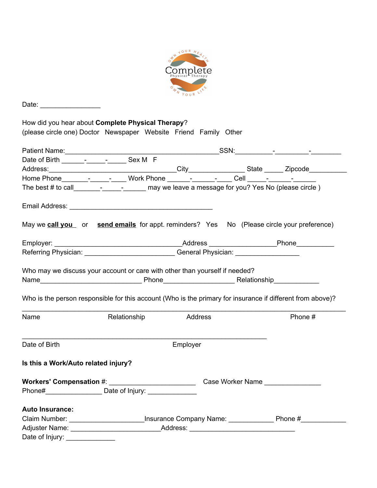

|                                     | How did you hear about Complete Physical Therapy?<br>(please circle one) Doctor Newspaper Website Friend Family Other  |         |  |         |
|-------------------------------------|------------------------------------------------------------------------------------------------------------------------|---------|--|---------|
|                                     |                                                                                                                        |         |  |         |
|                                     |                                                                                                                        |         |  |         |
|                                     |                                                                                                                        |         |  |         |
|                                     |                                                                                                                        |         |  |         |
|                                     | The best $\#$ to call $\frac{1}{2}$ $\frac{1}{2}$ $\frac{1}{2}$ may we leave a message for you? Yes No (please circle) |         |  |         |
|                                     |                                                                                                                        |         |  |         |
|                                     | May we call you or send emails for appt. reminders? Yes No (Please circle your preference)                             |         |  |         |
|                                     |                                                                                                                        |         |  |         |
|                                     | Referring Physician: General Physician: General Physician:                                                             |         |  |         |
|                                     | Who is the person responsible for this account (Who is the primary for insurance if different from above)?             |         |  |         |
| Name                                | Relationship                                                                                                           | Address |  | Phone # |
| Date of Birth                       | Employer                                                                                                               |         |  |         |
| Is this a Work/Auto related injury? |                                                                                                                        |         |  |         |
| Case Worker Name                    |                                                                                                                        |         |  |         |
|                                     |                                                                                                                        |         |  |         |
| <b>Auto Insurance:</b>              |                                                                                                                        |         |  |         |
|                                     |                                                                                                                        |         |  |         |
|                                     |                                                                                                                        |         |  |         |
|                                     |                                                                                                                        |         |  |         |